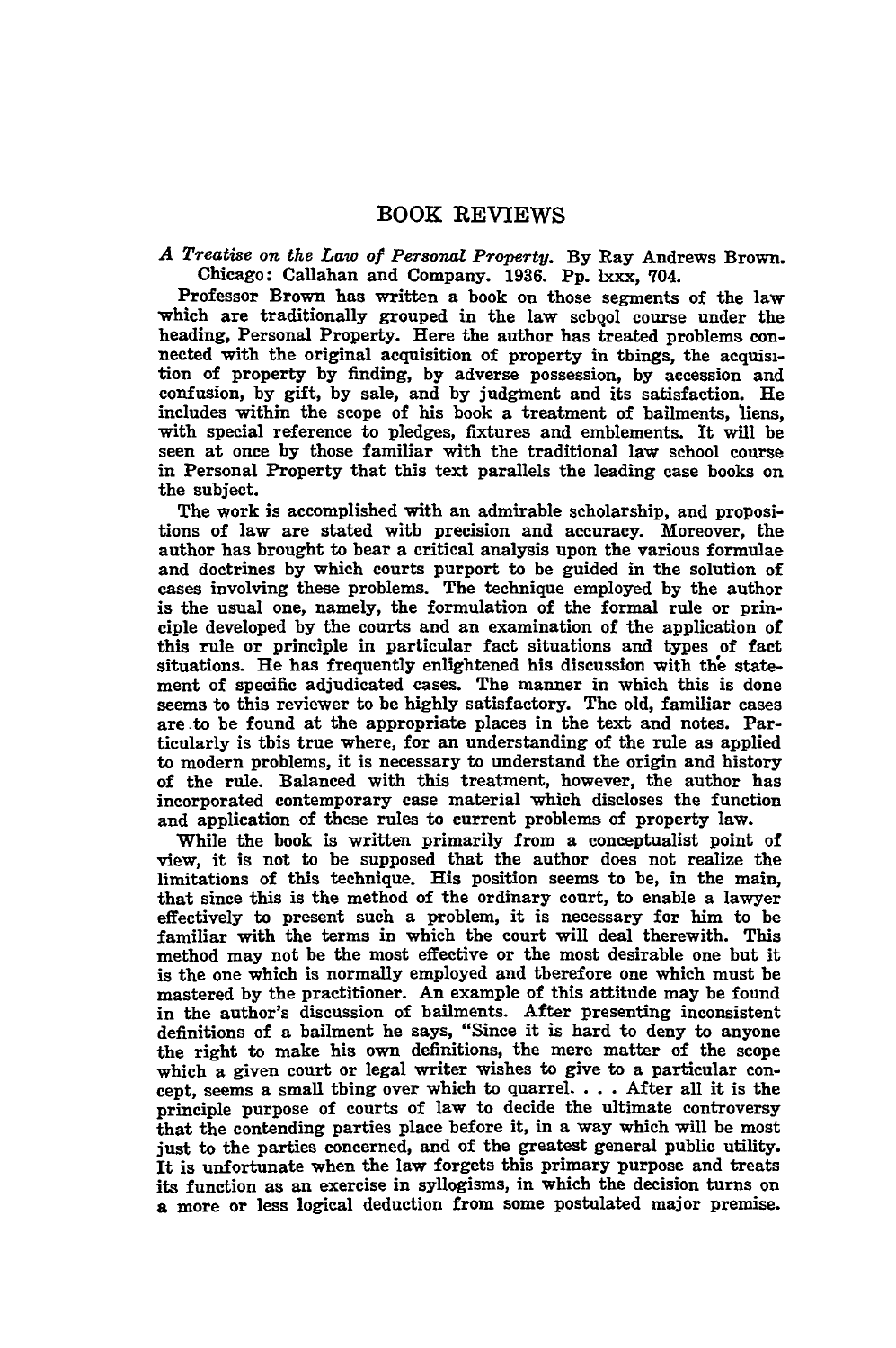## BOOK REVIEWS

*A Treatise on the Law of Personal Property.* **By** Ray Andrews Brown. Chicago: Callahan and Company. **1936. Pp.** lxxx, 704.

Professor Brown has written a book on those segments of the law which are traditionally grouped in the law schqol course under the heading, Personal Property. Here the author has treated problems connected with the original acquisition of property in things, the acquisition of property **by** finding, **by** adverse possession, **by** accession and confusion, **by** gift, **by** sale, and **by** judgment and its satisfaction. He includes within the scope of his book a treatment of bailments, liens, with special reference to pledges, fixtures and emblements. It will be seen at once **by** those familiar with the traditional law school course in Personal Property that this text parallels the leading case books on the subject.

The work is accomplished with an admirable scholarship, and propositions of law are stated with precision and accuracy. Moreover, the author has brought to bear a critical analysis upon the various formulae and doctrines **by** which courts purport to be guided in the solution of cases involving these problems. The technique employed **by** the author is the usual one, namely, the formulation of the formal rule or principle developed **by** the courts and an examination of the application of this rule or principle in particular fact situations and types of fact situations. He has frequently enlightened his discussion with **the** statement of specific adjudicated cases. The manner in which this is done seems to this reviewer to be **highly** satisfactory. The old, familiar cases are .to be found at the appropriate places in the text and notes. Particularly is this true where, for an understanding of the rule as applied to modern problems, it is necessary to understand the origin and history of the rule. Balanced with this treatment, however, the author has incorporated contemporary case material which discloses the function and application of these rules to current problems of property law.

While the book is written primarily from a conceptualist point of view, it is not to be supposed that the author does not realize the limitations of this technique. His position seems to be, in the main, that since this is the method of the ordinary court, to enable a lawyer effectively to present such a problem, it is necessary for him to be familiar with the terms in which the court will deal therewith. This method may not be the most effective or the most desirable one but it is the one which is normally employed and therefore one which must be mastered **by** the practitioner. An example of this attitude may be found in the author's discussion of bailments. After presenting inconsistent definitions of a bailment he says, "Since it is hard to deny to anyone the right to make his own definitions, the mere matter of the scope which a given court or legal writer wishes to give to a particular concept, seems a small thing over which to quarrel. . **.** .After all it is the principle purpose of courts of law to decide the ultimate controversy that the contending parties place before it, in a way which will be most just to the parties concerned, and of the greatest general public utility. It is unfortunate when the law forgets this primary purpose and treats its function as an exercise in syllogisms, in which the decision turns on a more or less logical deduction from some postulated major premise.